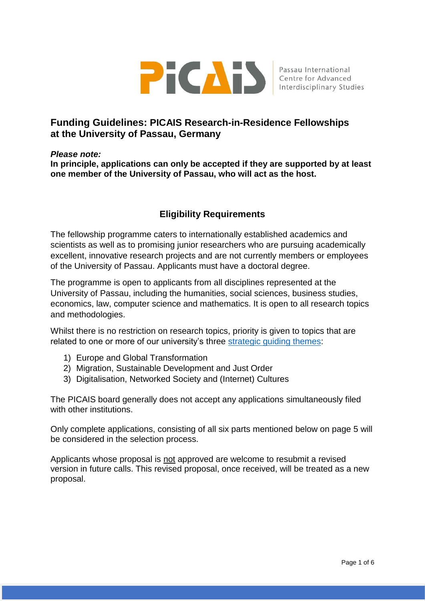

# **Funding Guidelines: PICAIS Research-in-Residence Fellowships at the University of Passau, Germany**

#### *Please note:*

**In principle, applications can only be accepted if they are supported by at least one member of the University of Passau, who will act as the host.** 

# **Eligibility Requirements**

The fellowship programme caters to internationally established academics and scientists as well as to promising junior researchers who are pursuing academically excellent, innovative research projects and are not currently members or employees of the University of Passau. Applicants must have a doctoral degree.

The programme is open to applicants from all disciplines represented at the University of Passau, including the humanities, social sciences, business studies, economics, law, computer science and mathematics. It is open to all research topics and methodologies.

Whilst there is no restriction on research topics, priority is given to topics that are related to one or more of our university's three [strategic guiding themes:](https://www.uni-passau.de/en/university/about-the-university/profile/)

- 1) Europe and Global Transformation
- 2) Migration, Sustainable Development and Just Order
- 3) Digitalisation, Networked Society and (Internet) Cultures

The PICAIS board generally does not accept any applications simultaneously filed with other institutions.

Only complete applications, consisting of all six parts mentioned below on page 5 will be considered in the selection process.

Applicants whose proposal is not approved are welcome to resubmit a revised version in future calls. This revised proposal, once received, will be treated as a new proposal.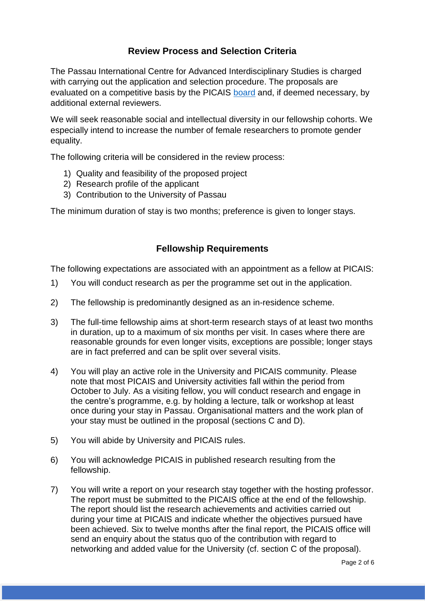## **Review Process and Selection Criteria**

The Passau International Centre for Advanced Interdisciplinary Studies is charged with carrying out the application and selection procedure. The proposals are evaluated on a competitive basis by the PICAIS [board](https://www.picais.uni-passau.de/en/about-picais/board-members/) and, if deemed necessary, by additional external reviewers.

We will seek reasonable social and intellectual diversity in our fellowship cohorts. We especially intend to increase the number of female researchers to promote gender equality.

The following criteria will be considered in the review process:

- 1) Quality and feasibility of the proposed project
- 2) Research profile of the applicant
- 3) Contribution to the University of Passau

The minimum duration of stay is two months; preference is given to longer stays.

#### **Fellowship Requirements**

The following expectations are associated with an appointment as a fellow at PICAIS:

- 1) You will conduct research as per the programme set out in the application.
- 2) The fellowship is predominantly designed as an in-residence scheme.
- 3) The full-time fellowship aims at short-term research stays of at least two months in duration, up to a maximum of six months per visit. In cases where there are reasonable grounds for even longer visits, exceptions are possible; longer stays are in fact preferred and can be split over several visits.
- 4) You will play an active role in the University and PICAIS community. Please note that most PICAIS and University activities fall within the period from October to July. As a visiting fellow, you will conduct research and engage in the centre's programme, e.g. by holding a lecture, talk or workshop at least once during your stay in Passau. Organisational matters and the work plan of your stay must be outlined in the proposal (sections C and D).
- 5) You will abide by University and PICAIS rules.
- 6) You will acknowledge PICAIS in published research resulting from the fellowship.
- 7) You will write a report on your research stay together with the hosting professor. The report must be submitted to the PICAIS office at the end of the fellowship. The report should list the research achievements and activities carried out during your time at PICAIS and indicate whether the objectives pursued have been achieved. Six to twelve months after the final report, the PICAIS office will send an enquiry about the status quo of the contribution with regard to networking and added value for the University (cf. section C of the proposal).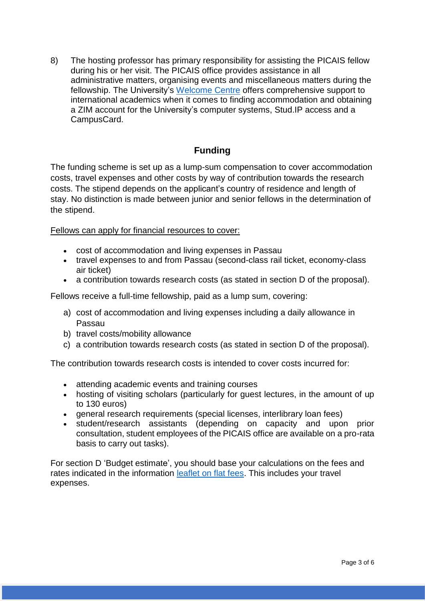8) The hosting professor has primary responsibility for assisting the PICAIS fellow during his or her visit. The PICAIS office provides assistance in all administrative matters, organising events and miscellaneous matters during the fellowship. The University's [Welcome Centre](https://www.uni-passau.de/en/welcome-centre/) offers comprehensive support to international academics when it comes to finding accommodation and obtaining a ZIM account for the University's computer systems, Stud.IP access and a CampusCard.

## **Funding**

The funding scheme is set up as a lump-sum compensation to cover accommodation costs, travel expenses and other costs by way of contribution towards the research costs. The stipend depends on the applicant's country of residence and length of stay. No distinction is made between junior and senior fellows in the determination of the stipend.

#### Fellows can apply for financial resources to cover:

- cost of accommodation and living expenses in Passau
- travel expenses to and from Passau (second-class rail ticket, economy-class air ticket)
- a contribution towards research costs (as stated in section D of the proposal).

Fellows receive a full-time fellowship, paid as a lump sum, covering:

- a) cost of accommodation and living expenses including a daily allowance in Passau
- b) travel costs/mobility allowance
- c) a contribution towards research costs (as stated in section D of the proposal).

The contribution towards research costs is intended to cover costs incurred for:

- attending academic events and training courses
- hosting of visiting scholars (particularly for quest lectures, in the amount of up to 130 euros)
- general research requirements (special licenses, interlibrary loan fees)
- student/research assistants (depending on capacity and upon prior consultation, student employees of the PICAIS office are available on a pro-rata basis to carry out tasks).

For section D 'Budget estimate', you should base your calculations on the fees and rates indicated in the information [leaflet on flat fees.](https://www.picais.uni-passau.de/fileadmin/dokumente/einrichtungen/PICAIS/1_Fellowships-FP/PICAIS_Flat_Fees.pdf) This includes your travel expenses.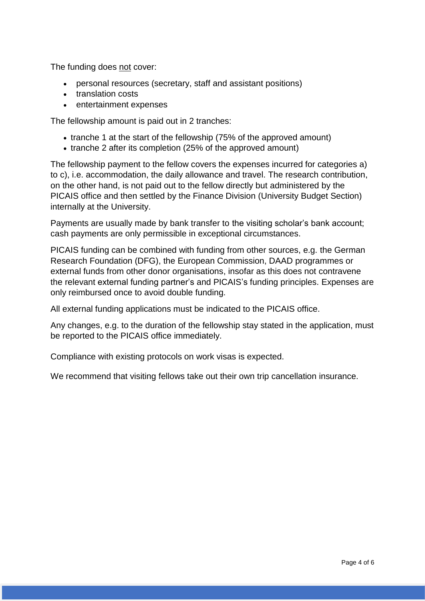The funding does not cover:

- personal resources (secretary, staff and assistant positions)
- translation costs
- entertainment expenses

The fellowship amount is paid out in 2 tranches:

- tranche 1 at the start of the fellowship (75% of the approved amount)
- tranche 2 after its completion (25% of the approved amount)

The fellowship payment to the fellow covers the expenses incurred for categories a) to c), i.e. accommodation, the daily allowance and travel. The research contribution, on the other hand, is not paid out to the fellow directly but administered by the PICAIS office and then settled by the Finance Division (University Budget Section) internally at the University.

Payments are usually made by bank transfer to the visiting scholar's bank account; cash payments are only permissible in exceptional circumstances.

PICAIS funding can be combined with funding from other sources, e.g. the German Research Foundation (DFG), the European Commission, DAAD programmes or external funds from other donor organisations, insofar as this does not contravene the relevant external funding partner's and PICAIS's funding principles. Expenses are only reimbursed once to avoid double funding.

All external funding applications must be indicated to the PICAIS office.

Any changes, e.g. to the duration of the fellowship stay stated in the application, must be reported to the PICAIS office immediately.

Compliance with existing protocols on work visas is expected.

We recommend that visiting fellows take out their own trip cancellation insurance.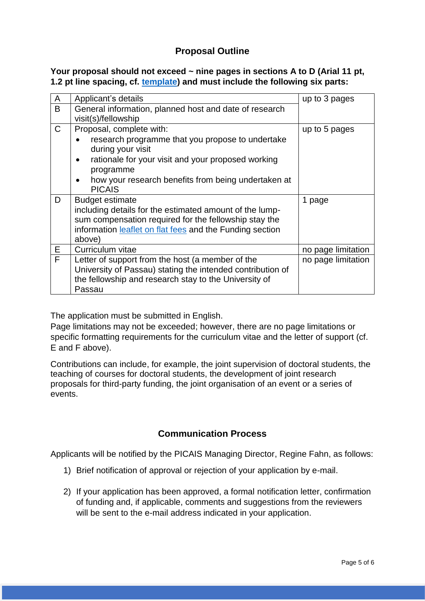## **Proposal Outline**

### **Your proposal should not exceed ~ nine pages in sections A to D (Arial 11 pt, 1.2 pt line spacing, cf. [template\)](https://www.picais.uni-passau.de/en/funding-programmes/research-in-residence-fellowships/) and must include the following six parts:**

| A            | Applicant's details                                                                                                                                                                                                                                                    | up to 3 pages      |
|--------------|------------------------------------------------------------------------------------------------------------------------------------------------------------------------------------------------------------------------------------------------------------------------|--------------------|
| B            | General information, planned host and date of research<br>visit(s)/fellowship                                                                                                                                                                                          |                    |
| $\mathsf{C}$ | Proposal, complete with:<br>research programme that you propose to undertake<br>during your visit<br>rationale for your visit and your proposed working<br>$\bullet$<br>programme<br>how your research benefits from being undertaken at<br>$\bullet$<br><b>PICAIS</b> | up to 5 pages      |
| D            | <b>Budget estimate</b><br>including details for the estimated amount of the lump-<br>sum compensation required for the fellowship stay the<br>information leaflet on flat fees and the Funding section<br>above)                                                       | 1 page             |
| Е            | Curriculum vitae                                                                                                                                                                                                                                                       | no page limitation |
| F            | Letter of support from the host (a member of the<br>University of Passau) stating the intended contribution of<br>the fellowship and research stay to the University of<br>Passau                                                                                      | no page limitation |

The application must be submitted in English.

Page limitations may not be exceeded; however, there are no page limitations or specific formatting requirements for the curriculum vitae and the letter of support (cf. E and F above).

Contributions can include, for example, the joint supervision of doctoral students, the teaching of courses for doctoral students, the development of joint research proposals for third-party funding, the joint organisation of an event or a series of events.

# **Communication Process**

Applicants will be notified by the PICAIS Managing Director, Regine Fahn, as follows:

- 1) Brief notification of approval or rejection of your application by e-mail.
- 2) If your application has been approved, a formal notification letter, confirmation of funding and, if applicable, comments and suggestions from the reviewers will be sent to the e-mail address indicated in your application.